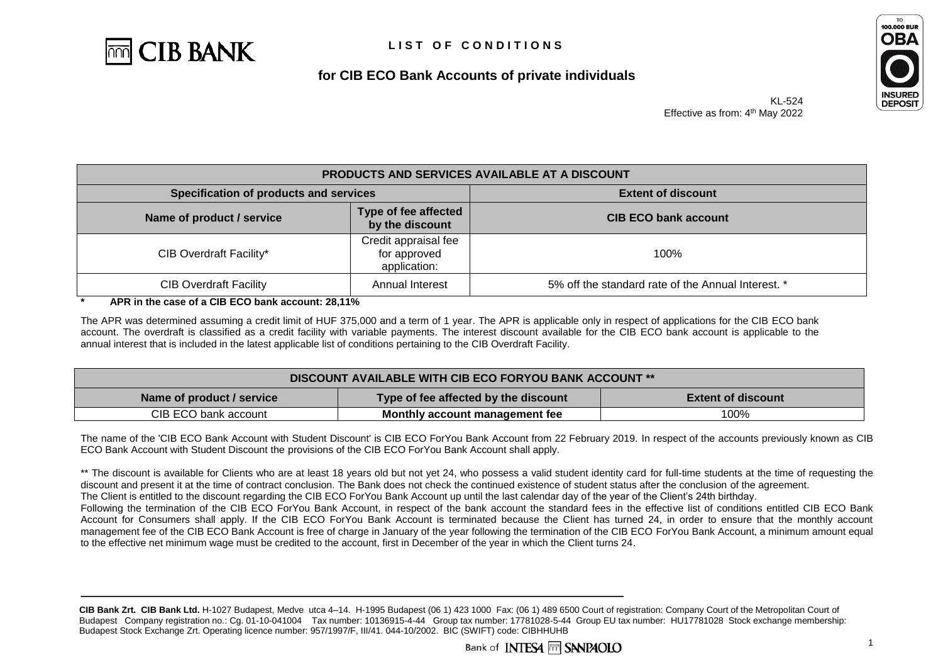



KL-524 Effective as from: 4<sup>th</sup> May 2022

| <b>PRODUCTS AND SERVICES AVAILABLE AT A DISCOUNT</b> |                                                      |                                                    |
|------------------------------------------------------|------------------------------------------------------|----------------------------------------------------|
| Specification of products and services               |                                                      | <b>Extent of discount</b>                          |
| Name of product / service                            | Type of fee affected<br>by the discount              | <b>CIB ECO bank account</b>                        |
| CIB Overdraft Facility*                              | Credit appraisal fee<br>for approved<br>application: | 100%                                               |
| <b>CIB Overdraft Facility</b>                        | Annual Interest                                      | 5% off the standard rate of the Annual Interest. * |

**\* APR in the case of a CIB ECO bank account: 28,11%**

The APR was determined assuming a credit limit of HUF 375,000 and a term of 1 year. The APR is applicable only in respect of applications for the CIB ECO bank account. The overdraft is classified as a credit facility with variable payments. The interest discount available for the CIB ECO bank account is applicable to the annual interest that is included in the latest applicable list of conditions pertaining to the CIB Overdraft Facility.

| <b>DISCOUNT AVAILABLE WITH CIB ECO FORYOU BANK ACCOUNT **</b> |                                      |                           |
|---------------------------------------------------------------|--------------------------------------|---------------------------|
| Name of product / service                                     | Type of fee affected by the discount | <b>Extent of discount</b> |
| CIB ECO bank account                                          | Monthly account management fee       | 100%                      |

The name of the 'CIB ECO Bank Account with Student Discount' is CIB ECO ForYou Bank Account from 22 February 2019. In respect of the accounts previously known as CIB ECO Bank Account with Student Discount the provisions of the CIB ECO ForYou Bank Account shall apply.

\*\* The discount is available for Clients who are at least 18 years old but not yet 24, who possess a valid student identity card for full-time students at the time of requesting the discount and present it at the time of contract conclusion. The Bank does not check the continued existence of student status after the conclusion of the agreement. The Client is entitled to the discount regarding the CIB ECO ForYou Bank Account up until the last calendar day of the year of the Client's 24th birthday.

Following the termination of the CIB ECO ForYou Bank Account, in respect of the bank account the standard fees in the effective list of conditions entitled CIB ECO Bank Account for Consumers shall apply. If the CIB ECO ForYou Bank Account is terminated because the Client has turned 24, in order to ensure that the monthly account management fee of the CIB ECO Bank Account is free of charge in January of the year following the termination of the CIB ECO ForYou Bank Account, a minimum amount equal to the effective net minimum wage must be credited to the account, first in December of the year in which the Client turns 24.

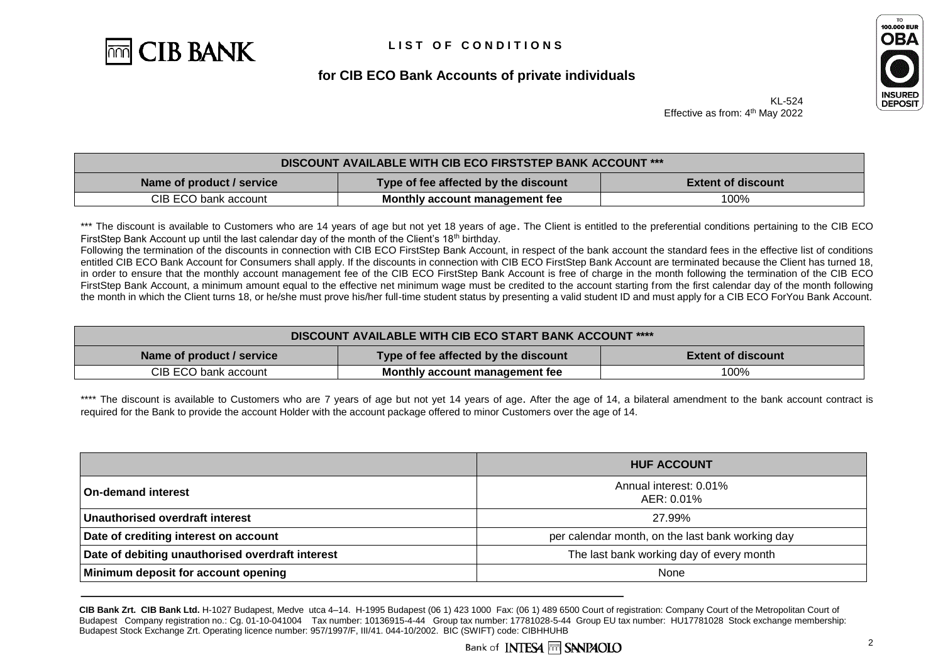



KL-524 Effective as from: 4<sup>th</sup> May 2022

| <b>DISCOUNT AVAILABLE WITH CIB ECO FIRSTSTEP BANK ACCOUNT ***</b> |                                      |                           |
|-------------------------------------------------------------------|--------------------------------------|---------------------------|
| Name of product / service                                         | Type of fee affected by the discount | <b>Extent of discount</b> |
| CIB ECO bank account                                              | Monthly account management fee       | 100%                      |

\*\*\* The discount is available to Customers who are 14 years of age but not yet 18 years of age. The Client is entitled to the preferential conditions pertaining to the CIB ECO FirstStep Bank Account up until the last calendar day of the month of the Client's 18<sup>th</sup> birthday.

Following the termination of the discounts in connection with CIB ECO FirstStep Bank Account, in respect of the bank account the standard fees in the effective list of conditions entitled CIB ECO Bank Account for Consumers shall apply. If the discounts in connection with CIB ECO FirstStep Bank Account are terminated because the Client has turned 18, in order to ensure that the monthly account management fee of the CIB ECO FirstStep Bank Account is free of charge in the month following the termination of the CIB ECO FirstStep Bank Account, a minimum amount equal to the effective net minimum wage must be credited to the account starting from the first calendar day of the month following the month in which the Client turns 18, or he/she must prove his/her full-time student status by presenting a valid student ID and must apply for a CIB ECO ForYou Bank Account.

| DISCOUNT AVAILABLE WITH CIB ECO START BANK ACCOUNT **** |                                      |                           |
|---------------------------------------------------------|--------------------------------------|---------------------------|
| Name of product / service                               | Type of fee affected by the discount | <b>Extent of discount</b> |
| CIB ECO bank account                                    | Monthly account management fee       | 100%                      |

\*\*\*\* The discount is available to Customers who are 7 years of age but not yet 14 years of age. After the age of 14, a bilateral amendment to the bank account contract is required for the Bank to provide the account Holder with the account package offered to minor Customers over the age of 14.

|                                                  | <b>HUF ACCOUNT</b>                               |
|--------------------------------------------------|--------------------------------------------------|
| <b>On-demand interest</b>                        | Annual interest: 0.01%<br>AER: 0.01%             |
| Unauthorised overdraft interest                  | 27.99%                                           |
| Date of crediting interest on account            | per calendar month, on the last bank working day |
| Date of debiting unauthorised overdraft interest | The last bank working day of every month         |
| Minimum deposit for account opening              | None                                             |

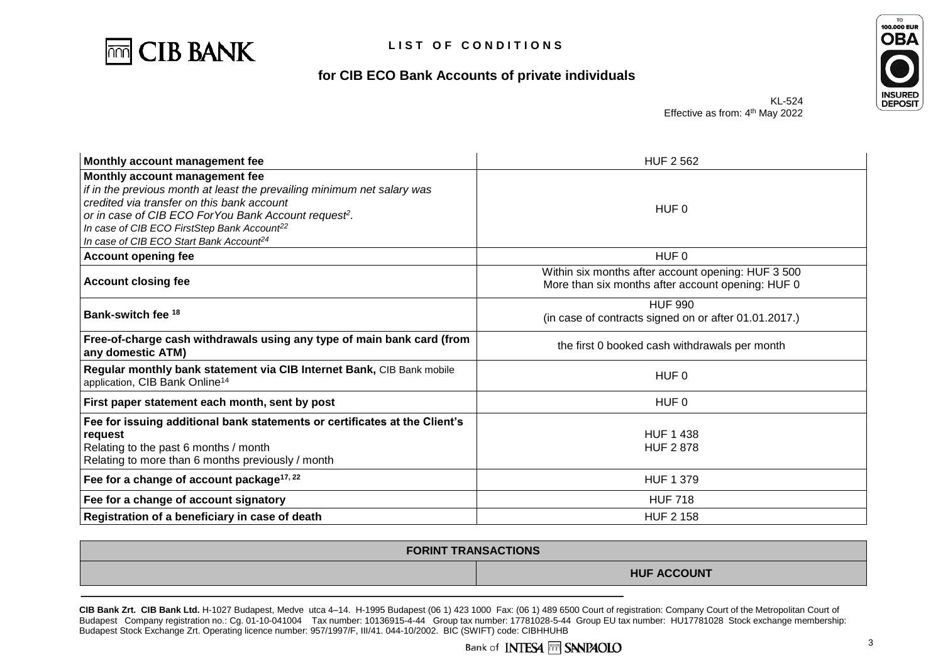



KL-524 Effective as from: 4<sup>th</sup> May 2022

| Monthly account management fee                                                                                                                                                                                                                                                                                                                 | <b>HUF 2562</b>                                                                                         |
|------------------------------------------------------------------------------------------------------------------------------------------------------------------------------------------------------------------------------------------------------------------------------------------------------------------------------------------------|---------------------------------------------------------------------------------------------------------|
| Monthly account management fee<br>if in the previous month at least the prevailing minimum net salary was<br>credited via transfer on this bank account<br>or in case of CIB ECO For You Bank Account request <sup>2</sup> .<br>In case of CIB ECO FirstStep Bank Account <sup>22</sup><br>In case of CIB ECO Start Bank Account <sup>24</sup> | HUF 0                                                                                                   |
| <b>Account opening fee</b>                                                                                                                                                                                                                                                                                                                     | HUF 0                                                                                                   |
| <b>Account closing fee</b>                                                                                                                                                                                                                                                                                                                     | Within six months after account opening: HUF 3 500<br>More than six months after account opening: HUF 0 |
| Bank-switch fee 18                                                                                                                                                                                                                                                                                                                             | <b>HUF 990</b><br>(in case of contracts signed on or after 01.01.2017.)                                 |
| Free-of-charge cash withdrawals using any type of main bank card (from<br>any domestic ATM)                                                                                                                                                                                                                                                    | the first 0 booked cash withdrawals per month                                                           |
| Regular monthly bank statement via CIB Internet Bank, CIB Bank mobile<br>application, CIB Bank Online <sup>14</sup>                                                                                                                                                                                                                            | HUF 0                                                                                                   |
| First paper statement each month, sent by post                                                                                                                                                                                                                                                                                                 | HUF 0                                                                                                   |
| Fee for issuing additional bank statements or certificates at the Client's<br>request<br>Relating to the past 6 months / month<br>Relating to more than 6 months previously / month                                                                                                                                                            | <b>HUF 1 438</b><br><b>HUF 2878</b>                                                                     |
| Fee for a change of account package <sup>17, 22</sup>                                                                                                                                                                                                                                                                                          | <b>HUF 1 379</b>                                                                                        |
| Fee for a change of account signatory                                                                                                                                                                                                                                                                                                          | <b>HUF 718</b>                                                                                          |
| Registration of a beneficiary in case of death                                                                                                                                                                                                                                                                                                 | <b>HUF 2 158</b>                                                                                        |

| <b>FORINT TRANSACTIONS</b> |                    |  |
|----------------------------|--------------------|--|
|                            | <b>HUF ACCOUNT</b> |  |

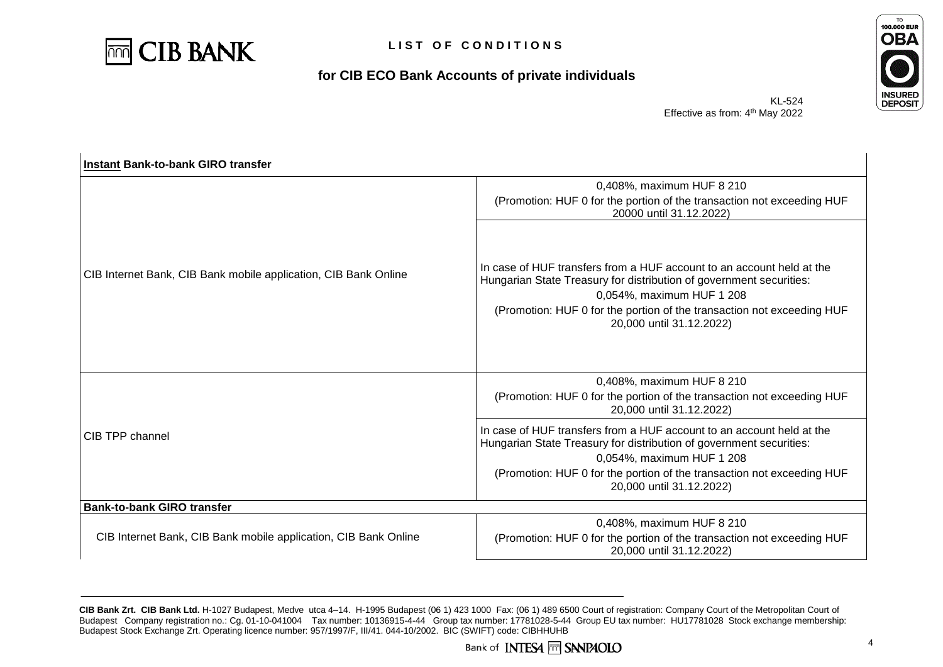

 $\mathbf{r}$ 

# **for CIB ECO Bank Accounts of private individuals**



KL-524 Effective as from: 4<sup>th</sup> May 2022

| Instant Bank-to-bank GIRO transfer                              |                                                                                                                                                                                                                                                                                 |
|-----------------------------------------------------------------|---------------------------------------------------------------------------------------------------------------------------------------------------------------------------------------------------------------------------------------------------------------------------------|
|                                                                 | 0,408%, maximum HUF 8 210                                                                                                                                                                                                                                                       |
|                                                                 | (Promotion: HUF 0 for the portion of the transaction not exceeding HUF<br>20000 until 31.12.2022)                                                                                                                                                                               |
| CIB Internet Bank, CIB Bank mobile application, CIB Bank Online | In case of HUF transfers from a HUF account to an account held at the<br>Hungarian State Treasury for distribution of government securities:<br>0,054%, maximum HUF 1 208<br>(Promotion: HUF 0 for the portion of the transaction not exceeding HUF<br>20,000 until 31.12.2022) |
|                                                                 | 0,408%, maximum HUF 8 210                                                                                                                                                                                                                                                       |
| CIB TPP channel                                                 | (Promotion: HUF 0 for the portion of the transaction not exceeding HUF<br>20,000 until 31.12.2022)                                                                                                                                                                              |
|                                                                 | In case of HUF transfers from a HUF account to an account held at the<br>Hungarian State Treasury for distribution of government securities:<br>0,054%, maximum HUF 1 208                                                                                                       |
|                                                                 | (Promotion: HUF 0 for the portion of the transaction not exceeding HUF<br>20,000 until 31.12.2022)                                                                                                                                                                              |
| <b>Bank-to-bank GIRO transfer</b>                               |                                                                                                                                                                                                                                                                                 |
|                                                                 | 0,408%, maximum HUF 8 210                                                                                                                                                                                                                                                       |
| CIB Internet Bank, CIB Bank mobile application, CIB Bank Online | (Promotion: HUF 0 for the portion of the transaction not exceeding HUF<br>20,000 until 31.12.2022)                                                                                                                                                                              |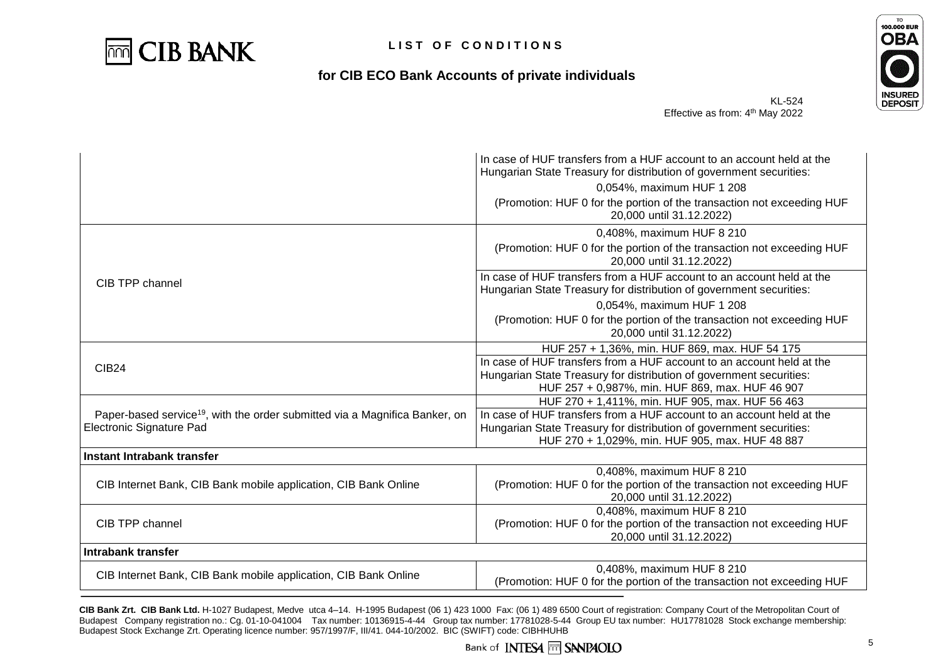



KL-524 Effective as from: 4<sup>th</sup> May 2022

|                                                                                         | In case of HUF transfers from a HUF account to an account held at the<br>Hungarian State Treasury for distribution of government securities:<br>0.054%, maximum HUF 1 208<br>(Promotion: HUF 0 for the portion of the transaction not exceeding HUF<br>20,000 until 31.12.2022) |
|-----------------------------------------------------------------------------------------|---------------------------------------------------------------------------------------------------------------------------------------------------------------------------------------------------------------------------------------------------------------------------------|
|                                                                                         | 0,408%, maximum HUF 8 210                                                                                                                                                                                                                                                       |
|                                                                                         | (Promotion: HUF 0 for the portion of the transaction not exceeding HUF<br>20,000 until 31.12.2022)                                                                                                                                                                              |
| CIB TPP channel                                                                         | In case of HUF transfers from a HUF account to an account held at the<br>Hungarian State Treasury for distribution of government securities:                                                                                                                                    |
|                                                                                         | 0,054%, maximum HUF 1 208<br>(Promotion: HUF 0 for the portion of the transaction not exceeding HUF<br>20,000 until 31.12.2022)                                                                                                                                                 |
|                                                                                         | HUF 257 + 1,36%, min. HUF 869, max. HUF 54 175                                                                                                                                                                                                                                  |
| <b>CIB24</b>                                                                            | In case of HUF transfers from a HUF account to an account held at the<br>Hungarian State Treasury for distribution of government securities:<br>HUF 257 + 0,987%, min. HUF 869, max. HUF 46 907                                                                                 |
|                                                                                         | HUF 270 + 1,411%, min. HUF 905, max. HUF 56 463                                                                                                                                                                                                                                 |
| Paper-based service <sup>19</sup> , with the order submitted via a Magnifica Banker, on | In case of HUF transfers from a HUF account to an account held at the                                                                                                                                                                                                           |
| Electronic Signature Pad                                                                | Hungarian State Treasury for distribution of government securities:                                                                                                                                                                                                             |
|                                                                                         | HUF 270 + 1,029%, min. HUF 905, max. HUF 48 887                                                                                                                                                                                                                                 |
| Instant Intrabank transfer                                                              |                                                                                                                                                                                                                                                                                 |
| CIB Internet Bank, CIB Bank mobile application, CIB Bank Online                         | 0,408%, maximum HUF 8 210<br>(Promotion: HUF 0 for the portion of the transaction not exceeding HUF<br>20,000 until 31.12.2022)                                                                                                                                                 |
|                                                                                         | 0,408%, maximum HUF 8 210                                                                                                                                                                                                                                                       |
| CIB TPP channel                                                                         | (Promotion: HUF 0 for the portion of the transaction not exceeding HUF<br>20,000 until 31.12.2022)                                                                                                                                                                              |
| Intrabank transfer                                                                      |                                                                                                                                                                                                                                                                                 |
|                                                                                         | 0,408%, maximum HUF 8 210                                                                                                                                                                                                                                                       |
| CIB Internet Bank, CIB Bank mobile application, CIB Bank Online                         | (Promotion: HUF 0 for the portion of the transaction not exceeding HUF                                                                                                                                                                                                          |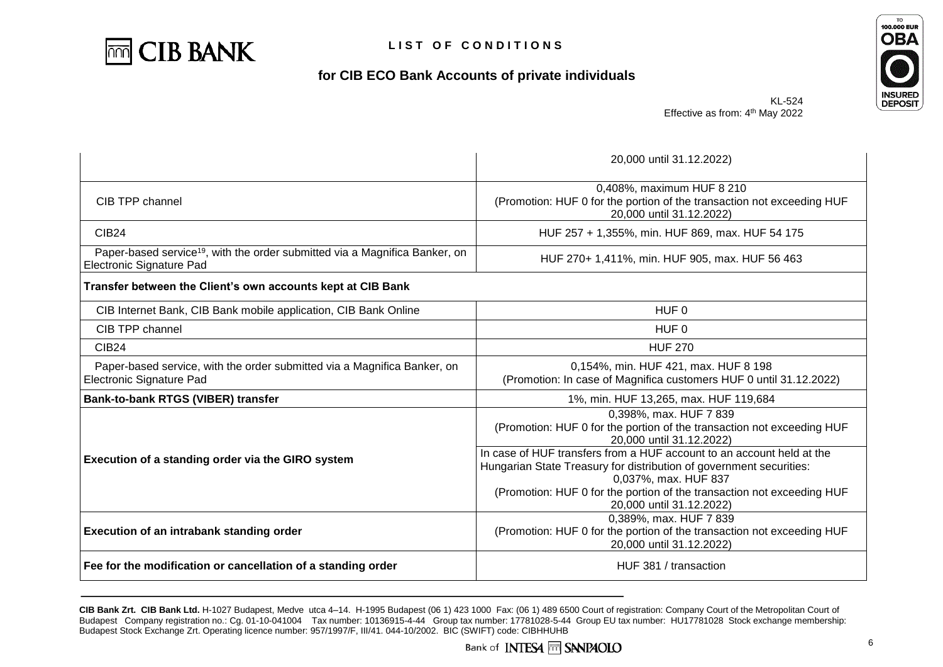

 $\mathbf{r}$ 

# **for CIB ECO Bank Accounts of private individuals**



KL-524 Effective as from: 4<sup>th</sup> May 2022

|                                                                                                                     | 20,000 until 31.12.2022)                                                                                                                                                                              |  |
|---------------------------------------------------------------------------------------------------------------------|-------------------------------------------------------------------------------------------------------------------------------------------------------------------------------------------------------|--|
| CIB TPP channel                                                                                                     | 0,408%, maximum HUF 8 210<br>(Promotion: HUF 0 for the portion of the transaction not exceeding HUF<br>20,000 until 31.12.2022)                                                                       |  |
| <b>CIB24</b>                                                                                                        | HUF 257 + 1,355%, min. HUF 869, max. HUF 54 175                                                                                                                                                       |  |
| Paper-based service <sup>19</sup> , with the order submitted via a Magnifica Banker, on<br>Electronic Signature Pad | HUF 270+ 1,411%, min. HUF 905, max. HUF 56 463                                                                                                                                                        |  |
| Transfer between the Client's own accounts kept at CIB Bank                                                         |                                                                                                                                                                                                       |  |
| CIB Internet Bank, CIB Bank mobile application, CIB Bank Online                                                     | HUF <sub>0</sub>                                                                                                                                                                                      |  |
| CIB TPP channel                                                                                                     | HUF <sub>0</sub>                                                                                                                                                                                      |  |
| <b>CIB24</b>                                                                                                        | <b>HUF 270</b>                                                                                                                                                                                        |  |
| Paper-based service, with the order submitted via a Magnifica Banker, on<br>Electronic Signature Pad                | 0,154%, min. HUF 421, max. HUF 8 198<br>(Promotion: In case of Magnifica customers HUF 0 until 31.12.2022)                                                                                            |  |
| Bank-to-bank RTGS (VIBER) transfer                                                                                  | 1%, min. HUF 13,265, max. HUF 119,684                                                                                                                                                                 |  |
|                                                                                                                     | 0,398%, max. HUF 7 839<br>(Promotion: HUF 0 for the portion of the transaction not exceeding HUF<br>20,000 until 31.12.2022)<br>In case of HUF transfers from a HUF account to an account held at the |  |
| Execution of a standing order via the GIRO system                                                                   | Hungarian State Treasury for distribution of government securities:<br>0.037%, max. HUF 837<br>(Promotion: HUF 0 for the portion of the transaction not exceeding HUF<br>20,000 until 31.12.2022)     |  |
| Execution of an intrabank standing order                                                                            | 0,389%, max. HUF 7 839<br>(Promotion: HUF 0 for the portion of the transaction not exceeding HUF<br>20,000 until 31.12.2022)                                                                          |  |
| Fee for the modification or cancellation of a standing order                                                        | HUF 381 / transaction                                                                                                                                                                                 |  |

**CIB Bank Zrt. CIB Bank Ltd.** H-1027 Budapest, Medve utca 4–14. H-1995 Budapest (06 1) 423 1000 Fax: (06 1) 489 6500 Court of registration: Company Court of the Metropolitan Court of Budapest Company registration no.: Cg. 01-10-041004 Tax number: 10136915-4-44 Group tax number: 17781028-5-44 Group EU tax number: HU17781028 Stock exchange membership: Budapest Stock Exchange Zrt. Operating licence number: 957/1997/F, III/41. 044-10/2002. BIC (SWIFT) code: CIBHHUHB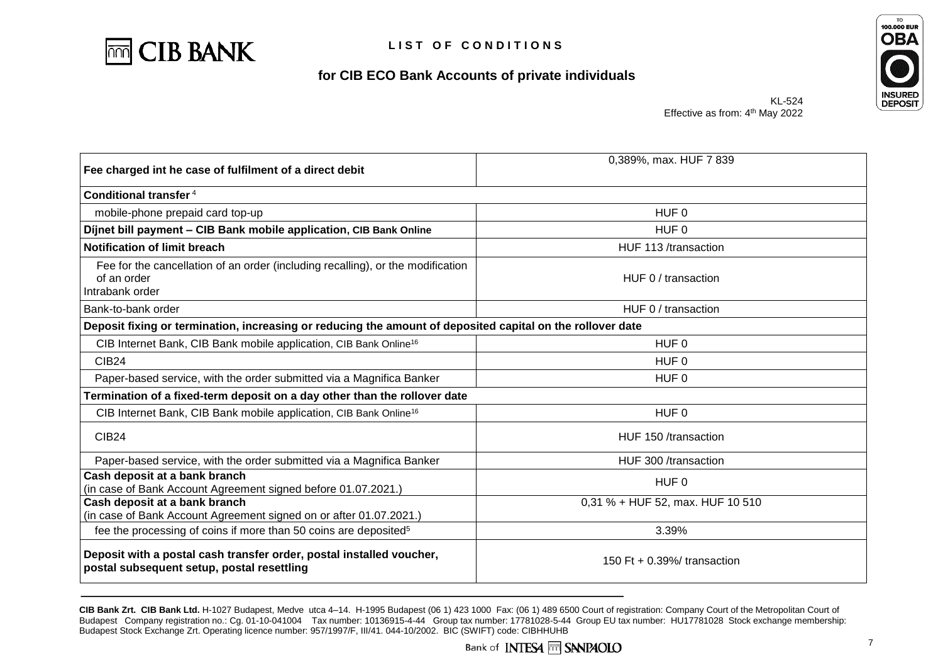



KL-524 Effective as from: 4<sup>th</sup> May 2022

| Fee charged int he case of fulfilment of a direct debit                                                            | 0,389%, max. HUF 7 839           |
|--------------------------------------------------------------------------------------------------------------------|----------------------------------|
| Conditional transfer <sup>4</sup>                                                                                  |                                  |
| mobile-phone prepaid card top-up                                                                                   | HUF <sub>0</sub>                 |
| Díjnet bill payment - CIB Bank mobile application, CIB Bank Online                                                 | HUF <sub>0</sub>                 |
| <b>Notification of limit breach</b>                                                                                | HUF 113 /transaction             |
| Fee for the cancellation of an order (including recalling), or the modification<br>of an order<br>Intrabank order  | HUF 0 / transaction              |
| Bank-to-bank order                                                                                                 | HUF 0 / transaction              |
| Deposit fixing or termination, increasing or reducing the amount of deposited capital on the rollover date         |                                  |
| CIB Internet Bank, CIB Bank mobile application, CIB Bank Online <sup>16</sup>                                      | HUF 0                            |
| <b>CIB24</b>                                                                                                       | HUF 0                            |
| Paper-based service, with the order submitted via a Magnifica Banker                                               | HUF <sub>0</sub>                 |
| Termination of a fixed-term deposit on a day other than the rollover date                                          |                                  |
| CIB Internet Bank, CIB Bank mobile application, CIB Bank Online <sup>16</sup>                                      | HUF <sub>0</sub>                 |
| <b>CIB24</b>                                                                                                       | HUF 150 /transaction             |
| Paper-based service, with the order submitted via a Magnifica Banker                                               | HUF 300 /transaction             |
| Cash deposit at a bank branch<br>(in case of Bank Account Agreement signed before 01.07.2021.)                     | HUF <sub>0</sub>                 |
| Cash deposit at a bank branch<br>(in case of Bank Account Agreement signed on or after 01.07.2021.)                | 0,31 % + HUF 52, max. HUF 10 510 |
| fee the processing of coins if more than 50 coins are deposited <sup>5</sup>                                       | 3.39%                            |
| Deposit with a postal cash transfer order, postal installed voucher,<br>postal subsequent setup, postal resettling | 150 Ft $+$ 0.39%/ transaction    |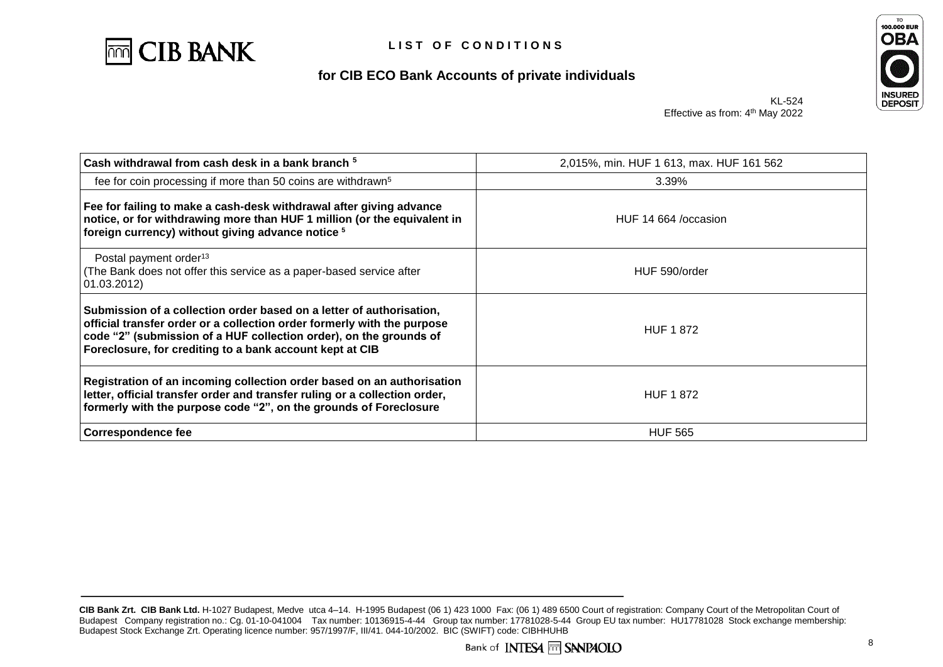



KL-524 Effective as from: 4<sup>th</sup> May 2022

| Cash withdrawal from cash desk in a bank branch <sup>5</sup>                                                                                                                                                                                                                      | 2,015%, min. HUF 1 613, max. HUF 161 562 |
|-----------------------------------------------------------------------------------------------------------------------------------------------------------------------------------------------------------------------------------------------------------------------------------|------------------------------------------|
| fee for coin processing if more than 50 coins are withdrawn <sup>5</sup>                                                                                                                                                                                                          | 3.39%                                    |
| Fee for failing to make a cash-desk withdrawal after giving advance<br>notice, or for withdrawing more than HUF 1 million (or the equivalent in<br>foreign currency) without giving advance notice <sup>5</sup>                                                                   | HUF 14 664 / occasion                    |
| Postal payment order <sup>13</sup><br>The Bank does not offer this service as a paper-based service after<br>01.03.2012)                                                                                                                                                          | HUF 590/order                            |
| Submission of a collection order based on a letter of authorisation,<br>official transfer order or a collection order formerly with the purpose<br>code "2" (submission of a HUF collection order), on the grounds of<br>Foreclosure, for crediting to a bank account kept at CIB | <b>HUF 1872</b>                          |
| Registration of an incoming collection order based on an authorisation<br>letter, official transfer order and transfer ruling or a collection order,<br>formerly with the purpose code "2", on the grounds of Foreclosure                                                         | <b>HUF 1872</b>                          |
| <b>Correspondence fee</b>                                                                                                                                                                                                                                                         | <b>HUF 565</b>                           |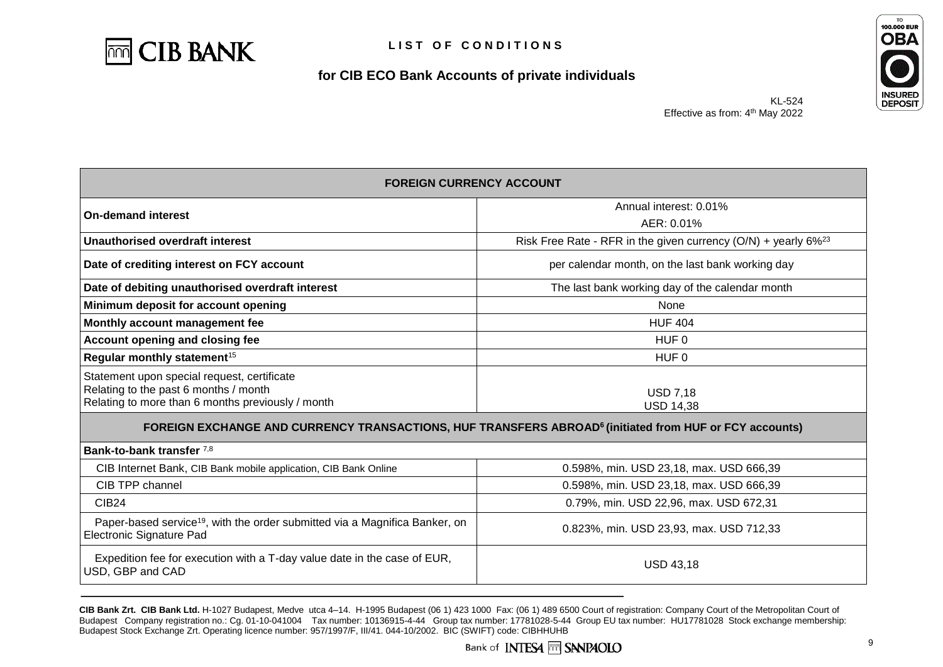



| <b>FOREIGN CURRENCY ACCOUNT</b>                                                                                                           |                                                                              |  |  |
|-------------------------------------------------------------------------------------------------------------------------------------------|------------------------------------------------------------------------------|--|--|
| <b>On-demand interest</b>                                                                                                                 | Annual interest: 0.01%                                                       |  |  |
|                                                                                                                                           | AER: 0.01%                                                                   |  |  |
| Unauthorised overdraft interest                                                                                                           | Risk Free Rate - RFR in the given currency $(O/N)$ + yearly 6% <sup>23</sup> |  |  |
| Date of crediting interest on FCY account                                                                                                 | per calendar month, on the last bank working day                             |  |  |
| Date of debiting unauthorised overdraft interest                                                                                          | The last bank working day of the calendar month                              |  |  |
| Minimum deposit for account opening                                                                                                       | None                                                                         |  |  |
| Monthly account management fee                                                                                                            | <b>HUF 404</b>                                                               |  |  |
| Account opening and closing fee                                                                                                           | HUF <sub>0</sub>                                                             |  |  |
| Regular monthly statement <sup>15</sup>                                                                                                   | HUF 0                                                                        |  |  |
| Statement upon special request, certificate<br>Relating to the past 6 months / month<br>Relating to more than 6 months previously / month | <b>USD 7,18</b><br><b>USD 14,38</b>                                          |  |  |
| FOREIGN EXCHANGE AND CURRENCY TRANSACTIONS, HUF TRANSFERS ABROAD <sup>6</sup> (initiated from HUF or FCY accounts)                        |                                                                              |  |  |
| Bank-to-bank transfer 7,8                                                                                                                 |                                                                              |  |  |
| CIB Internet Bank, CIB Bank mobile application, CIB Bank Online                                                                           | 0.598%, min. USD 23,18, max. USD 666,39                                      |  |  |
| CIB TPP channel                                                                                                                           | 0.598%, min. USD 23,18, max. USD 666,39                                      |  |  |
| CIB <sub>24</sub>                                                                                                                         | 0.79%, min. USD 22,96, max. USD 672,31                                       |  |  |
| Paper-based service <sup>19</sup> , with the order submitted via a Magnifica Banker, on<br>Electronic Signature Pad                       | 0.823%, min. USD 23,93, max. USD 712,33                                      |  |  |
| Expedition fee for execution with a T-day value date in the case of EUR,<br>USD, GBP and CAD                                              | <b>USD 43,18</b>                                                             |  |  |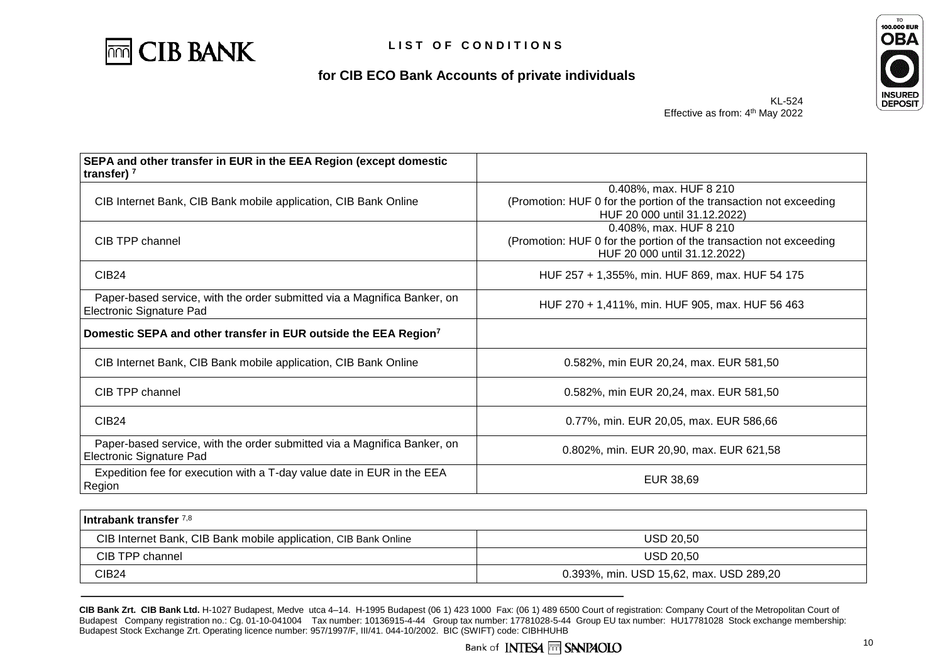



KL-524 Effective as from: 4<sup>th</sup> May 2022

| SEPA and other transfer in EUR in the EEA Region (except domestic<br>transfer) $7$                   |                                                                                                                              |  |
|------------------------------------------------------------------------------------------------------|------------------------------------------------------------------------------------------------------------------------------|--|
| CIB Internet Bank, CIB Bank mobile application, CIB Bank Online                                      | 0.408%, max. HUF 8 210<br>(Promotion: HUF 0 for the portion of the transaction not exceeding<br>HUF 20 000 until 31.12.2022) |  |
| CIB TPP channel                                                                                      | 0.408%, max. HUF 8 210<br>(Promotion: HUF 0 for the portion of the transaction not exceeding<br>HUF 20 000 until 31.12.2022) |  |
| <b>CIB24</b>                                                                                         | HUF 257 + 1,355%, min. HUF 869, max. HUF 54 175                                                                              |  |
| Paper-based service, with the order submitted via a Magnifica Banker, on<br>Electronic Signature Pad | HUF 270 + 1,411%, min. HUF 905, max. HUF 56 463                                                                              |  |
| Domestic SEPA and other transfer in EUR outside the EEA Region <sup>7</sup>                          |                                                                                                                              |  |
| CIB Internet Bank, CIB Bank mobile application, CIB Bank Online                                      | 0.582%, min EUR 20,24, max. EUR 581,50                                                                                       |  |
| CIB TPP channel                                                                                      | 0.582%, min EUR 20,24, max. EUR 581,50                                                                                       |  |
| <b>CIB24</b>                                                                                         | 0.77%, min. EUR 20,05, max. EUR 586,66                                                                                       |  |
| Paper-based service, with the order submitted via a Magnifica Banker, on<br>Electronic Signature Pad | 0.802%, min. EUR 20,90, max. EUR 621,58                                                                                      |  |
| Expedition fee for execution with a T-day value date in EUR in the EEA<br>Region                     | EUR 38,69                                                                                                                    |  |

| l Intrabank transfer 7,8 i                                      |                                         |  |
|-----------------------------------------------------------------|-----------------------------------------|--|
| CIB Internet Bank, CIB Bank mobile application, CIB Bank Online | USD 20.50                               |  |
| CIB TPP channel                                                 | <b>USD 20,50</b>                        |  |
| CIB24                                                           | 0.393%, min. USD 15,62, max. USD 289,20 |  |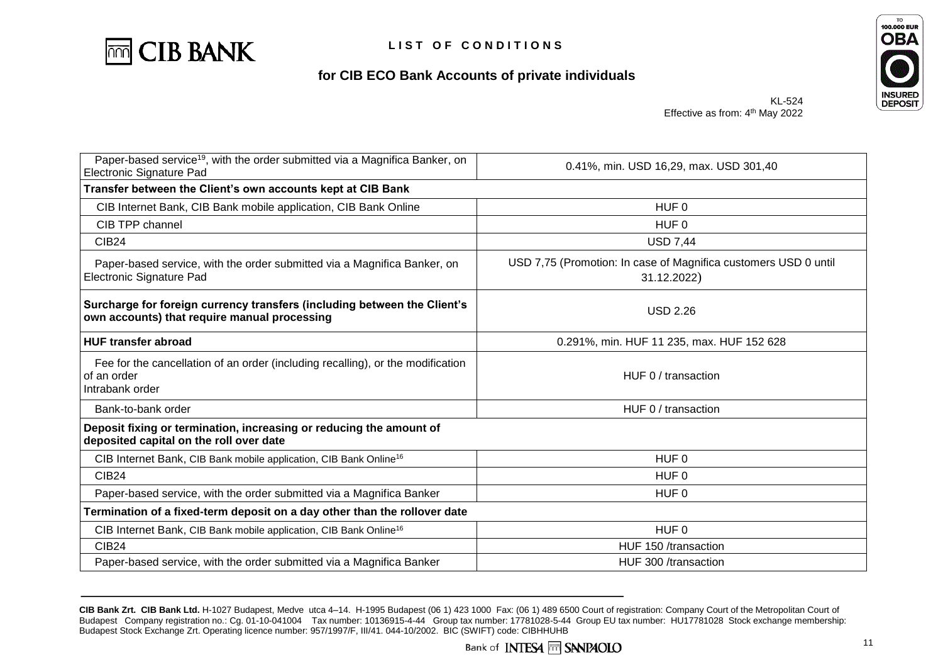



KL-524 Effective as from: 4<sup>th</sup> May 2022

| Paper-based service <sup>19</sup> , with the order submitted via a Magnifica Banker, on<br>Electronic Signature Pad      | 0.41%, min. USD 16,29, max. USD 301,40                                         |  |
|--------------------------------------------------------------------------------------------------------------------------|--------------------------------------------------------------------------------|--|
| Transfer between the Client's own accounts kept at CIB Bank                                                              |                                                                                |  |
| CIB Internet Bank, CIB Bank mobile application, CIB Bank Online                                                          | HUF <sub>0</sub>                                                               |  |
| CIB TPP channel                                                                                                          | HUF <sub>0</sub>                                                               |  |
| <b>CIB24</b>                                                                                                             | <b>USD 7,44</b>                                                                |  |
| Paper-based service, with the order submitted via a Magnifica Banker, on<br>Electronic Signature Pad                     | USD 7,75 (Promotion: In case of Magnifica customers USD 0 until<br>31.12.2022) |  |
| Surcharge for foreign currency transfers (including between the Client's<br>own accounts) that require manual processing | <b>USD 2.26</b>                                                                |  |
| <b>HUF transfer abroad</b>                                                                                               | 0.291%, min. HUF 11 235, max. HUF 152 628                                      |  |
| Fee for the cancellation of an order (including recalling), or the modification<br>of an order<br>Intrabank order        | HUF 0 / transaction                                                            |  |
| Bank-to-bank order                                                                                                       | HUF 0 / transaction                                                            |  |
| Deposit fixing or termination, increasing or reducing the amount of<br>deposited capital on the roll over date           |                                                                                |  |
| CIB Internet Bank, CIB Bank mobile application, CIB Bank Online <sup>16</sup>                                            | HUF <sub>0</sub>                                                               |  |
| <b>CIB24</b>                                                                                                             | HUF <sub>0</sub>                                                               |  |
| Paper-based service, with the order submitted via a Magnifica Banker                                                     | HUF <sub>0</sub>                                                               |  |
| Termination of a fixed-term deposit on a day other than the rollover date                                                |                                                                                |  |
| CIB Internet Bank, CIB Bank mobile application, CIB Bank Online <sup>16</sup>                                            | HUF <sub>0</sub>                                                               |  |
| <b>CIB24</b>                                                                                                             | HUF 150 /transaction                                                           |  |
| Paper-based service, with the order submitted via a Magnifica Banker                                                     | HUF 300 /transaction                                                           |  |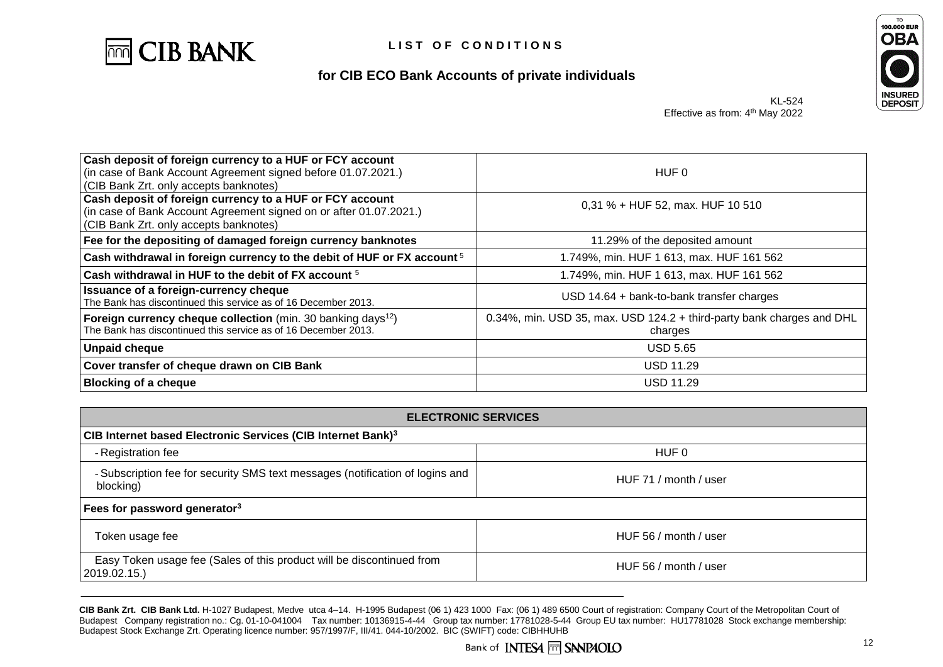



KL-524 Effective as from: 4<sup>th</sup> May 2022

| Cash deposit of foreign currency to a HUF or FCY account<br>(in case of Bank Account Agreement signed before 01.07.2021.)<br>(CIB Bank Zrt. only accepts banknotes)      | HUF 0                                                                            |  |  |
|--------------------------------------------------------------------------------------------------------------------------------------------------------------------------|----------------------------------------------------------------------------------|--|--|
| Cash deposit of foreign currency to a HUF or FCY account<br>(in case of Bank Account Agreement signed on or after 01.07.2021.)<br>(CIB Bank Zrt. only accepts banknotes) | 0,31 % + HUF 52, max. HUF 10 510                                                 |  |  |
| Fee for the depositing of damaged foreign currency banknotes                                                                                                             | 11.29% of the deposited amount                                                   |  |  |
| Cash withdrawal in foreign currency to the debit of HUF or FX account $5$                                                                                                | 1.749%, min. HUF 1 613, max. HUF 161 562                                         |  |  |
| Cash withdrawal in HUF to the debit of FX account <sup>5</sup>                                                                                                           | 1.749%, min. HUF 1 613, max. HUF 161 562                                         |  |  |
| Issuance of a foreign-currency cheque<br>The Bank has discontinued this service as of 16 December 2013.                                                                  | USD $14.64 +$ bank-to-bank transfer charges                                      |  |  |
| Foreign currency cheque collection (min. 30 banking days <sup>12</sup> )<br>The Bank has discontinued this service as of 16 December 2013.                               | 0.34%, min. USD 35, max. USD 124.2 + third-party bank charges and DHL<br>charges |  |  |
| <b>Unpaid cheque</b>                                                                                                                                                     | <b>USD 5.65</b>                                                                  |  |  |
| Cover transfer of cheque drawn on CIB Bank                                                                                                                               | <b>USD 11.29</b>                                                                 |  |  |
| <b>Blocking of a cheque</b>                                                                                                                                              | USD 11.29                                                                        |  |  |

| <b>ELECTRONIC SERVICES</b>                                                                 |                       |  |  |
|--------------------------------------------------------------------------------------------|-----------------------|--|--|
| CIB Internet based Electronic Services (CIB Internet Bank) <sup>3</sup>                    |                       |  |  |
| - Registration fee                                                                         | HUF 0                 |  |  |
| - Subscription fee for security SMS text messages (notification of logins and<br>blocking) | HUF 71 / month / user |  |  |
| Fees for password generator <sup>3</sup>                                                   |                       |  |  |
| Token usage fee                                                                            | HUF 56 / month / user |  |  |
| Easy Token usage fee (Sales of this product will be discontinued from<br>2019.02.15.)      | HUF 56 / month / user |  |  |

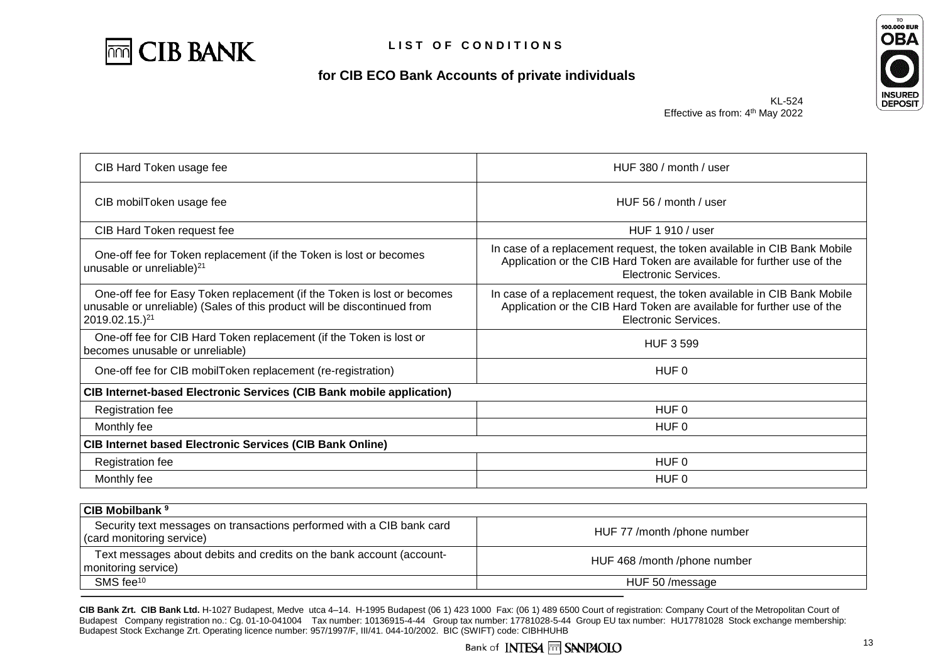



KL-524 Effective as from: 4<sup>th</sup> May 2022

| CIB Hard Token usage fee                                                                                                                                                          | HUF 380 / month / user                                                                                                                                                     |  |  |
|-----------------------------------------------------------------------------------------------------------------------------------------------------------------------------------|----------------------------------------------------------------------------------------------------------------------------------------------------------------------------|--|--|
| CIB mobilToken usage fee                                                                                                                                                          | HUF 56 / month / user                                                                                                                                                      |  |  |
| CIB Hard Token request fee                                                                                                                                                        | HUF 1 910 / user                                                                                                                                                           |  |  |
| One-off fee for Token replacement (if the Token is lost or becomes<br>unusable or unreliable) <sup>21</sup>                                                                       | In case of a replacement request, the token available in CIB Bank Mobile<br>Application or the CIB Hard Token are available for further use of the<br>Electronic Services. |  |  |
| One-off fee for Easy Token replacement (if the Token is lost or becomes<br>unusable or unreliable) (Sales of this product will be discontinued from<br>2019.02.15.) <sup>21</sup> | In case of a replacement request, the token available in CIB Bank Mobile<br>Application or the CIB Hard Token are available for further use of the<br>Electronic Services. |  |  |
| One-off fee for CIB Hard Token replacement (if the Token is lost or<br>becomes unusable or unreliable)                                                                            | <b>HUF 3 599</b>                                                                                                                                                           |  |  |
| One-off fee for CIB mobilToken replacement (re-registration)                                                                                                                      | HUF 0                                                                                                                                                                      |  |  |
| <b>CIB Internet-based Electronic Services (CIB Bank mobile application)</b>                                                                                                       |                                                                                                                                                                            |  |  |
| <b>Registration fee</b>                                                                                                                                                           | HUF <sub>0</sub>                                                                                                                                                           |  |  |
| Monthly fee                                                                                                                                                                       | HUF 0                                                                                                                                                                      |  |  |
| <b>CIB Internet based Electronic Services (CIB Bank Online)</b>                                                                                                                   |                                                                                                                                                                            |  |  |
| <b>Registration fee</b>                                                                                                                                                           | HUF <sub>0</sub>                                                                                                                                                           |  |  |
| Monthly fee                                                                                                                                                                       | HUF <sub>0</sub>                                                                                                                                                           |  |  |
|                                                                                                                                                                                   |                                                                                                                                                                            |  |  |
| <b>CIB Mobilbank<sup>9</sup></b>                                                                                                                                                  |                                                                                                                                                                            |  |  |
| Security text messages on transactions performed with a CIB bank card<br>(card monitoring service)                                                                                | HUF 77 /month /phone number                                                                                                                                                |  |  |

Text messages about debits and credits on the bank account (accountmonitoring service) about debits and credits on the bank account (account-<br>monitoring service) SMS fee<sup>10</sup> HUF 50 /message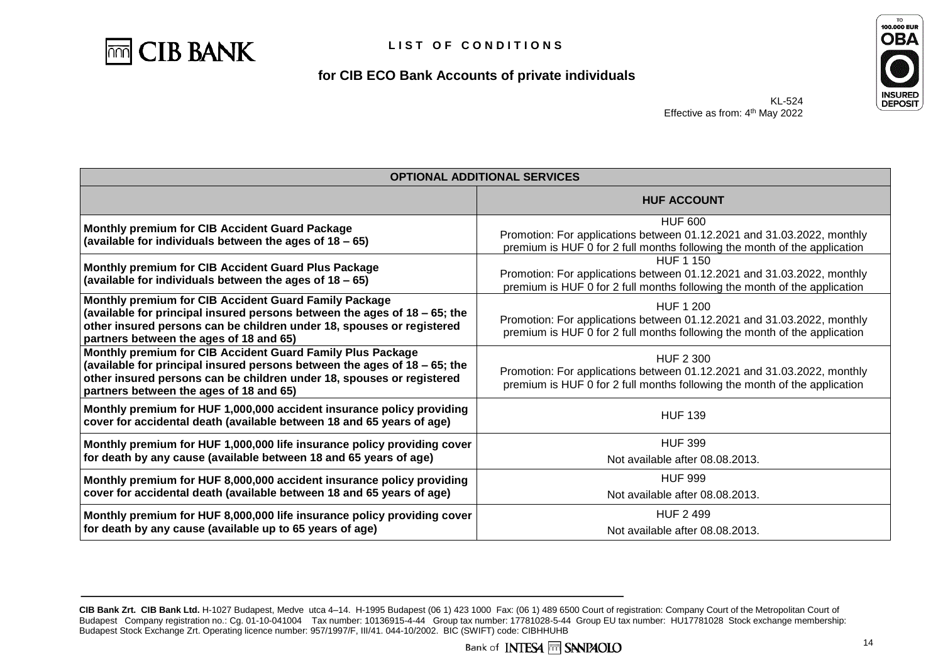



KL-524 Effective as from: 4<sup>th</sup> May 2022

| <b>OPTIONAL ADDITIONAL SERVICES</b>                                                                                                                                                                                                                         |                                                                                                                                                                         |  |
|-------------------------------------------------------------------------------------------------------------------------------------------------------------------------------------------------------------------------------------------------------------|-------------------------------------------------------------------------------------------------------------------------------------------------------------------------|--|
|                                                                                                                                                                                                                                                             | <b>HUF ACCOUNT</b>                                                                                                                                                      |  |
| Monthly premium for CIB Accident Guard Package<br>(available for individuals between the ages of 18 - 65)                                                                                                                                                   | <b>HUF 600</b><br>Promotion: For applications between 01.12.2021 and 31.03.2022, monthly<br>premium is HUF 0 for 2 full months following the month of the application   |  |
| Monthly premium for CIB Accident Guard Plus Package<br>(available for individuals between the ages of 18 - 65)                                                                                                                                              | HUF 1 150<br>Promotion: For applications between 01.12.2021 and 31.03.2022, monthly<br>premium is HUF 0 for 2 full months following the month of the application        |  |
| Monthly premium for CIB Accident Guard Family Package<br>(available for principal insured persons between the ages of 18 - 65; the<br>other insured persons can be children under 18, spouses or registered<br>partners between the ages of 18 and 65)      | <b>HUF 1 200</b><br>Promotion: For applications between 01.12.2021 and 31.03.2022, monthly<br>premium is HUF 0 for 2 full months following the month of the application |  |
| Monthly premium for CIB Accident Guard Family Plus Package<br>(available for principal insured persons between the ages of 18 - 65; the<br>other insured persons can be children under 18, spouses or registered<br>partners between the ages of 18 and 65) | <b>HUF 2 300</b><br>Promotion: For applications between 01.12.2021 and 31.03.2022, monthly<br>premium is HUF 0 for 2 full months following the month of the application |  |
| Monthly premium for HUF 1,000,000 accident insurance policy providing<br>cover for accidental death (available between 18 and 65 years of age)                                                                                                              | <b>HUF 139</b>                                                                                                                                                          |  |
| Monthly premium for HUF 1,000,000 life insurance policy providing cover<br>for death by any cause (available between 18 and 65 years of age)                                                                                                                | <b>HUF 399</b><br>Not available after 08.08.2013.                                                                                                                       |  |
| Monthly premium for HUF 8,000,000 accident insurance policy providing<br>cover for accidental death (available between 18 and 65 years of age)                                                                                                              | <b>HUF 999</b><br>Not available after 08.08.2013.                                                                                                                       |  |
| Monthly premium for HUF 8,000,000 life insurance policy providing cover<br>for death by any cause (available up to 65 years of age)                                                                                                                         | <b>HUF 2 499</b><br>Not available after 08.08.2013.                                                                                                                     |  |

**CIB Bank Zrt. CIB Bank Ltd.** H-1027 Budapest, Medve utca 4–14. H-1995 Budapest (06 1) 423 1000 Fax: (06 1) 489 6500 Court of registration: Company Court of the Metropolitan Court of Budapest Company registration no.: Cg. 01-10-041004 Tax number: 10136915-4-44 Group tax number: 17781028-5-44 Group EU tax number: HU17781028 Stock exchange membership: Budapest Stock Exchange Zrt. Operating licence number: 957/1997/F, III/41. 044-10/2002. BIC (SWIFT) code: CIBHHUHB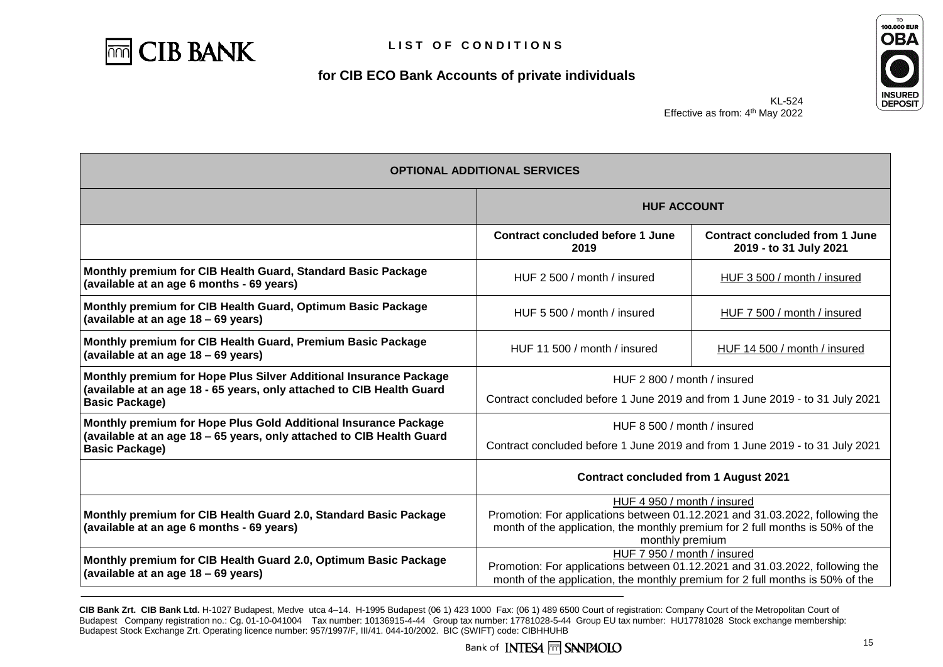



KL-524 Effective as from: 4<sup>th</sup> May 2022

| <b>OPTIONAL ADDITIONAL SERVICES</b>                                                                                                                                 |                                                                                                                                                                                                                 |                                                                 |  |
|---------------------------------------------------------------------------------------------------------------------------------------------------------------------|-----------------------------------------------------------------------------------------------------------------------------------------------------------------------------------------------------------------|-----------------------------------------------------------------|--|
|                                                                                                                                                                     | <b>HUF ACCOUNT</b>                                                                                                                                                                                              |                                                                 |  |
|                                                                                                                                                                     | <b>Contract concluded before 1 June</b><br>2019                                                                                                                                                                 | <b>Contract concluded from 1 June</b><br>2019 - to 31 July 2021 |  |
| Monthly premium for CIB Health Guard, Standard Basic Package<br>(available at an age 6 months - 69 years)                                                           | HUF 2 500 / month / insured<br>HUF 3 500 / month / insured                                                                                                                                                      |                                                                 |  |
| Monthly premium for CIB Health Guard, Optimum Basic Package<br>(available at an age 18 - 69 years)                                                                  | HUF 5 500 / month / insured                                                                                                                                                                                     | HUF 7 500 / month / insured                                     |  |
| Monthly premium for CIB Health Guard, Premium Basic Package<br>(available at an age 18 - 69 years)                                                                  | HUF 11 500 / month / insured                                                                                                                                                                                    | HUF 14 500 / month / insured                                    |  |
| Monthly premium for Hope Plus Silver Additional Insurance Package<br>(available at an age 18 - 65 years, only attached to CIB Health Guard<br><b>Basic Package)</b> | HUF 2 800 / month / insured<br>Contract concluded before 1 June 2019 and from 1 June 2019 - to 31 July 2021                                                                                                     |                                                                 |  |
| Monthly premium for Hope Plus Gold Additional Insurance Package<br>(available at an age 18 - 65 years, only attached to CIB Health Guard<br><b>Basic Package)</b>   | HUF 8 500 / month / insured<br>Contract concluded before 1 June 2019 and from 1 June 2019 - to 31 July 2021                                                                                                     |                                                                 |  |
|                                                                                                                                                                     | <b>Contract concluded from 1 August 2021</b>                                                                                                                                                                    |                                                                 |  |
| Monthly premium for CIB Health Guard 2.0, Standard Basic Package<br>(available at an age 6 months - 69 years)                                                       | HUF 4 950 / month / insured<br>Promotion: For applications between 01.12.2021 and 31.03.2022, following the<br>month of the application, the monthly premium for 2 full months is 50% of the<br>monthly premium |                                                                 |  |
| Monthly premium for CIB Health Guard 2.0, Optimum Basic Package<br>(available at an age 18 – 69 years)                                                              | HUF 7 950 / month / insured<br>Promotion: For applications between 01.12.2021 and 31.03.2022, following the<br>month of the application, the monthly premium for 2 full months is 50% of the                    |                                                                 |  |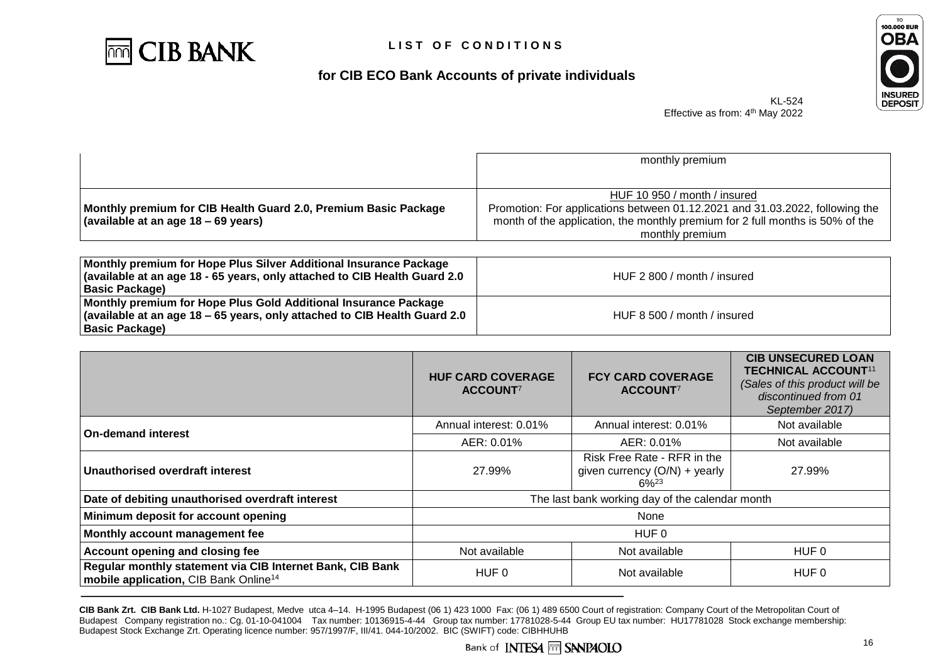



KL-524 Effective as from: 4<sup>th</sup> May 2022

|                                                                 | monthly premium                                                               |  |
|-----------------------------------------------------------------|-------------------------------------------------------------------------------|--|
|                                                                 |                                                                               |  |
|                                                                 | HUF 10 950 / month / insured                                                  |  |
| Monthly premium for CIB Health Guard 2.0, Premium Basic Package | Promotion: For applications between 01.12.2021 and 31.03.2022, following the  |  |
| (available at an age 18 – 69 years)                             | month of the application, the monthly premium for 2 full months is 50% of the |  |
|                                                                 | monthly premium                                                               |  |
|                                                                 |                                                                               |  |

| Monthly premium for Hope Plus Silver Additional Insurance Package<br>available at an age 18 - 65 years, only attached to CIB Health Guard 2.0<br>  Basic Package)  | HUF 2 800 / month / insured |
|--------------------------------------------------------------------------------------------------------------------------------------------------------------------|-----------------------------|
| Monthly premium for Hope Plus Gold Additional Insurance Package<br>  (available at an age 18 - 65 years, only attached to CIB Health Guard 2.0<br>  Basic Package) | HUF 8 500 / month / insured |

|                                                                                                                | <b>HUF CARD COVERAGE</b><br>ACCOUNT <sup>7</sup> | <b>FCY CARD COVERAGE</b><br>ACCOUNT <sup>7</sup>                             | <b>CIB UNSECURED LOAN</b><br><b>TECHNICAL ACCOUNT11</b><br>(Sales of this product will be<br>discontinued from 01<br>September 2017) |
|----------------------------------------------------------------------------------------------------------------|--------------------------------------------------|------------------------------------------------------------------------------|--------------------------------------------------------------------------------------------------------------------------------------|
| <b>On-demand interest</b>                                                                                      | Annual interest: 0.01%                           | Annual interest: 0.01%                                                       | Not available                                                                                                                        |
|                                                                                                                | AER: 0.01%                                       | AER: 0.01%                                                                   | Not available                                                                                                                        |
| Unauthorised overdraft interest                                                                                | 27.99%                                           | Risk Free Rate - RFR in the<br>given currency $(O/N)$ + yearly<br>$6\%^{23}$ | 27.99%                                                                                                                               |
| Date of debiting unauthorised overdraft interest                                                               | The last bank working day of the calendar month  |                                                                              |                                                                                                                                      |
| Minimum deposit for account opening                                                                            | None                                             |                                                                              |                                                                                                                                      |
| Monthly account management fee                                                                                 | HUF 0                                            |                                                                              |                                                                                                                                      |
| Account opening and closing fee                                                                                | Not available                                    | Not available                                                                | HUF 0                                                                                                                                |
| Regular monthly statement via CIB Internet Bank, CIB Bank<br>mobile application, CIB Bank Online <sup>14</sup> | HUF 0                                            | Not available                                                                | HUF 0                                                                                                                                |

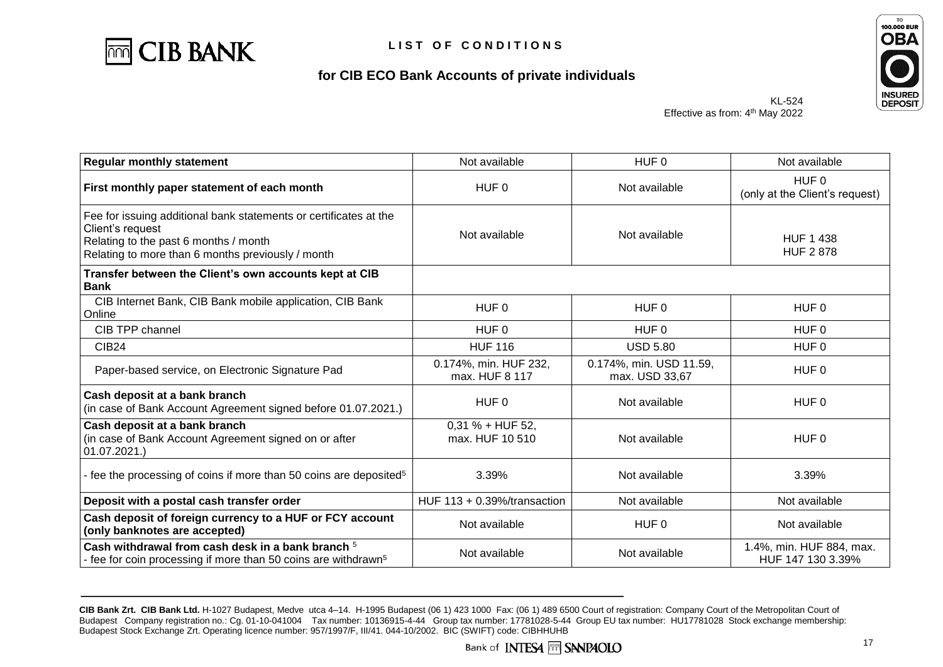



KL-524 Effective as from: 4<sup>th</sup> May 2022

| <b>Regular monthly statement</b>                                                                                                                                                    | Not available<br>HUF <sub>0</sub>        |                                           | Not available                                      |
|-------------------------------------------------------------------------------------------------------------------------------------------------------------------------------------|------------------------------------------|-------------------------------------------|----------------------------------------------------|
| First monthly paper statement of each month                                                                                                                                         | HUF <sub>0</sub>                         | Not available                             | HUF <sub>0</sub><br>(only at the Client's request) |
| Fee for issuing additional bank statements or certificates at the<br>Client's request<br>Relating to the past 6 months / month<br>Relating to more than 6 months previously / month | Not available<br>Not available           |                                           | <b>HUF 1 438</b><br><b>HUF 2 878</b>               |
| Transfer between the Client's own accounts kept at CIB<br><b>Bank</b>                                                                                                               |                                          |                                           |                                                    |
| CIB Internet Bank, CIB Bank mobile application, CIB Bank<br>Online                                                                                                                  | HUF <sub>0</sub>                         | HUF 0                                     | HUF <sub>0</sub>                                   |
| CIB TPP channel                                                                                                                                                                     | HUF 0                                    | HUF 0                                     | HUF <sub>0</sub>                                   |
| <b>CIB24</b>                                                                                                                                                                        | <b>HUF 116</b>                           | <b>USD 5.80</b>                           | HUF 0                                              |
| Paper-based service, on Electronic Signature Pad                                                                                                                                    | 0.174%, min. HUF 232,<br>max. HUF 8 117  | 0.174%, min. USD 11.59,<br>max. USD 33,67 | HUF <sub>0</sub>                                   |
| Cash deposit at a bank branch<br>(in case of Bank Account Agreement signed before 01.07.2021.)                                                                                      | HUF 0                                    | Not available                             | HUF 0                                              |
| Cash deposit at a bank branch<br>(in case of Bank Account Agreement signed on or after<br>$ 01.07.2021.\rangle$                                                                     | $0,31% + HUF 52,$<br>max, HUF 10 510     | Not available                             | HUF <sub>0</sub>                                   |
| - fee the processing of coins if more than 50 coins are deposited <sup>5</sup>                                                                                                      | 3.39%                                    | Not available                             | 3.39%                                              |
| Deposit with a postal cash transfer order                                                                                                                                           | HUF $113 + 0.39\frac{1}{10}$ transaction | Not available                             | Not available                                      |
| Cash deposit of foreign currency to a HUF or FCY account<br>(only banknotes are accepted)                                                                                           | Not available                            | HUF 0                                     | Not available                                      |
| Cash withdrawal from cash desk in a bank branch <sup>5</sup><br>- fee for coin processing if more than 50 coins are withdrawn <sup>5</sup>                                          | Not available                            | Not available                             | 1.4%, min. HUF 884, max.<br>HUF 147 130 3.39%      |

**CIB Bank Zrt. CIB Bank Ltd.** H-1027 Budapest, Medve utca 4–14. H-1995 Budapest (06 1) 423 1000 Fax: (06 1) 489 6500 Court of registration: Company Court of the Metropolitan Court of Budapest Company registration no.: Cg. 01-10-041004 Tax number: 10136915-4-44 Group tax number: 17781028-5-44 Group EU tax number: HU17781028 Stock exchange membership: Budapest Stock Exchange Zrt. Operating licence number: 957/1997/F, III/41. 044-10/2002. BIC (SWIFT) code: CIBHHUHB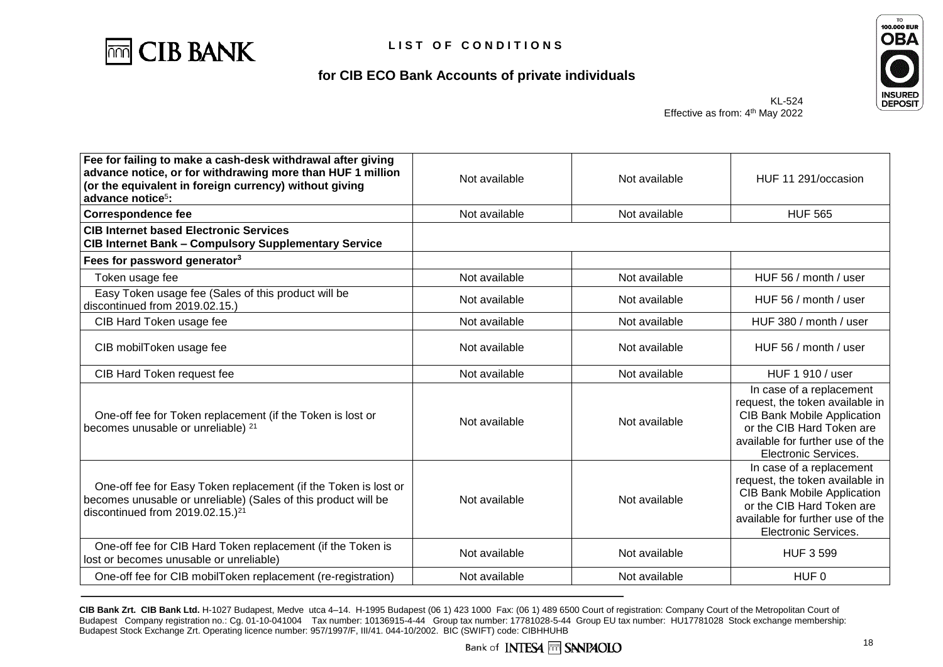



KL-524 Effective as from: 4<sup>th</sup> May 2022

| Fee for failing to make a cash-desk withdrawal after giving<br>advance notice, or for withdrawing more than HUF 1 million<br>(or the equivalent in foreign currency) without giving<br>advance notice <sup>5</sup> : | Not available | Not available | HUF 11 291/occasion                                                                                                                                                                        |
|----------------------------------------------------------------------------------------------------------------------------------------------------------------------------------------------------------------------|---------------|---------------|--------------------------------------------------------------------------------------------------------------------------------------------------------------------------------------------|
| <b>Correspondence fee</b>                                                                                                                                                                                            | Not available | Not available | <b>HUF 565</b>                                                                                                                                                                             |
| <b>CIB Internet based Electronic Services</b><br><b>CIB Internet Bank - Compulsory Supplementary Service</b>                                                                                                         |               |               |                                                                                                                                                                                            |
| Fees for password generator <sup>3</sup>                                                                                                                                                                             |               |               |                                                                                                                                                                                            |
| Token usage fee                                                                                                                                                                                                      | Not available | Not available | HUF 56 / month / user                                                                                                                                                                      |
| Easy Token usage fee (Sales of this product will be<br>discontinued from 2019.02.15.)                                                                                                                                | Not available | Not available | HUF 56 / month / user                                                                                                                                                                      |
| CIB Hard Token usage fee                                                                                                                                                                                             | Not available | Not available | HUF 380 / month / user                                                                                                                                                                     |
| CIB mobilToken usage fee                                                                                                                                                                                             | Not available | Not available | HUF 56 / month / user                                                                                                                                                                      |
| CIB Hard Token request fee                                                                                                                                                                                           | Not available | Not available | HUF 1 910 / user                                                                                                                                                                           |
| One-off fee for Token replacement (if the Token is lost or<br>becomes unusable or unreliable) <sup>21</sup>                                                                                                          | Not available | Not available | In case of a replacement<br>request, the token available in<br><b>CIB Bank Mobile Application</b><br>or the CIB Hard Token are<br>available for further use of the<br>Electronic Services. |
| One-off fee for Easy Token replacement (if the Token is lost or<br>becomes unusable or unreliable) (Sales of this product will be<br>discontinued from $2019.02.15$ .) <sup>21</sup>                                 | Not available | Not available | In case of a replacement<br>request, the token available in<br><b>CIB Bank Mobile Application</b><br>or the CIB Hard Token are<br>available for further use of the<br>Electronic Services. |
| One-off fee for CIB Hard Token replacement (if the Token is<br>lost or becomes unusable or unreliable)                                                                                                               | Not available | Not available | <b>HUF 3 599</b>                                                                                                                                                                           |
| One-off fee for CIB mobilToken replacement (re-registration)                                                                                                                                                         | Not available | Not available | HUF <sub>0</sub>                                                                                                                                                                           |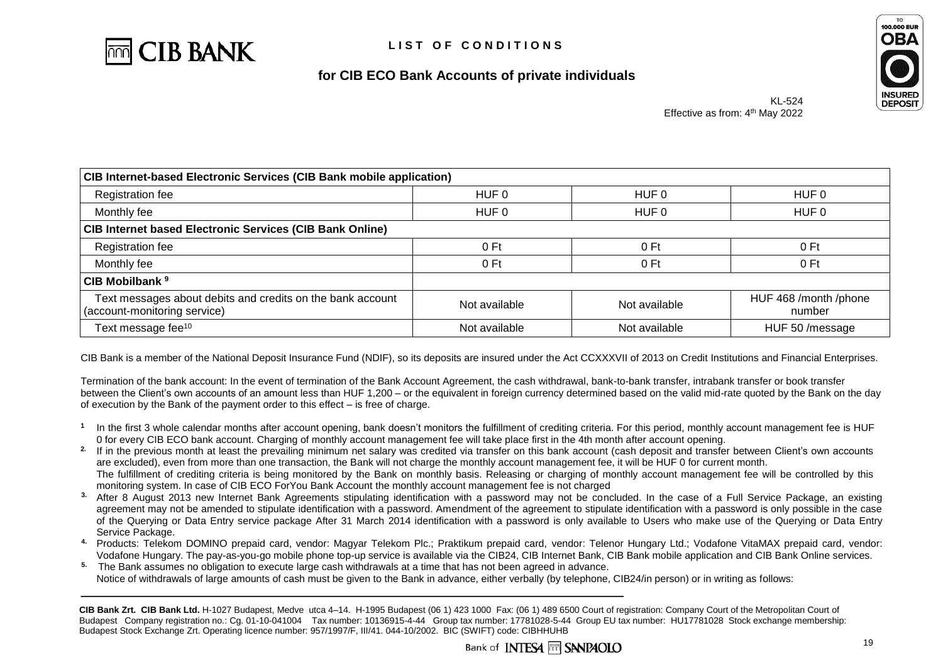



| <b>CIB Internet-based Electronic Services (CIB Bank mobile application)</b>                |                  |                 |                                 |  |
|--------------------------------------------------------------------------------------------|------------------|-----------------|---------------------------------|--|
| Registration fee                                                                           | HUF 0            | HUF 0           | HUF 0                           |  |
| Monthly fee                                                                                | HUF <sub>0</sub> | HUF 0           | HUF 0                           |  |
| <b>CIB Internet based Electronic Services (CIB Bank Online)</b>                            |                  |                 |                                 |  |
| Registration fee                                                                           | 0 <sub>ft</sub>  | 0 <sub>ft</sub> | 0 Ft                            |  |
| Monthly fee                                                                                | 0 Ft             | 0 <sub>ft</sub> | 0 Ft                            |  |
| CIB Mobilbank <sup>9</sup>                                                                 |                  |                 |                                 |  |
| Text messages about debits and credits on the bank account<br>(account-monitoring service) | Not available    | Not available   | HUF 468 /month /phone<br>number |  |
| Text message fee <sup>10</sup>                                                             | Not available    | Not available   | HUF 50 /message                 |  |

CIB Bank is a member of the National Deposit Insurance Fund (NDIF), so its deposits are insured under the Act CCXXXVII of 2013 on Credit Institutions and Financial Enterprises.

Termination of the bank account: In the event of termination of the Bank Account Agreement, the cash withdrawal, bank-to-bank transfer, intrabank transfer or book transfer between the Client's own accounts of an amount less than HUF 1,200 – or the equivalent in foreign currency determined based on the valid mid-rate quoted by the Bank on the day of execution by the Bank of the payment order to this effect – is free of charge.

- **1** In the first 3 whole calendar months after account opening, bank doesn't monitors the fulfillment of crediting criteria. For this period, monthly account management fee is HUF 0 for every CIB ECO bank account. Charging of monthly account management fee will take place first in the 4th month after account opening.
- **2.** If in the previous month at least the prevailing minimum net salary was credited via transfer on this bank account (cash deposit and transfer between Client's own accounts are excluded), even from more than one transaction, the Bank will not charge the monthly account management fee, it will be HUF 0 for current month. The fulfillment of crediting criteria is being monitored by the Bank on monthly basis. Releasing or charging of monthly account management fee will be controlled by this monitoring system. In case of CIB ECO ForYou Bank Account the monthly account management fee is not charged
- **3.** After 8 August 2013 new Internet Bank Agreements stipulating identification with a password may not be concluded. In the case of a Full Service Package, an existing agreement may not be amended to stipulate identification with a password. Amendment of the agreement to stipulate identification with a password is only possible in the case of the Querying or Data Entry service package After 31 March 2014 identification with a password is only available to Users who make use of the Querying or Data Entry Service Package.
- **4.** Products: Telekom DOMINO prepaid card, vendor: Magyar Telekom Plc.; Praktikum prepaid card, vendor: Telenor Hungary Ltd.; Vodafone VitaMAX prepaid card, vendor: Vodafone Hungary. The pay-as-you-go mobile phone top-up service is available via the CIB24, CIB Internet Bank, CIB Bank mobile application and CIB Bank Online services.
- **5.** The Bank assumes no obligation to execute large cash withdrawals at a time that has not been agreed in advance. Notice of withdrawals of large amounts of cash must be given to the Bank in advance, either verbally (by telephone, CIB24/in person) or in writing as follows:

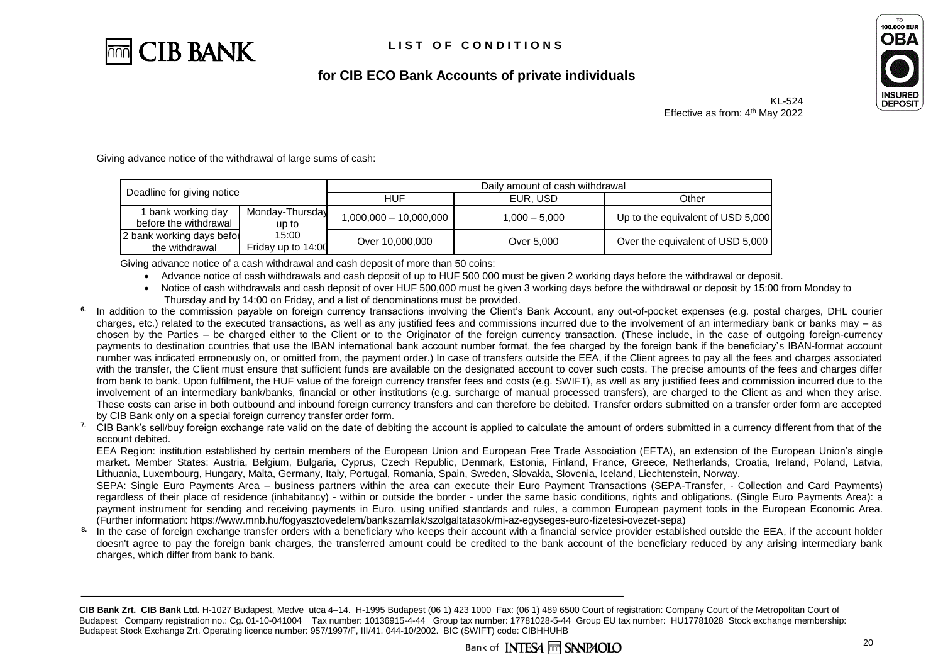



KL-524 Effective as from: 4<sup>th</sup> May 2022

Giving advance notice of the withdrawal of large sums of cash:

| Deadline for giving notice                  |                             | Daily amount of cash withdrawal |                 |                                   |  |
|---------------------------------------------|-----------------------------|---------------------------------|-----------------|-----------------------------------|--|
|                                             |                             | HUF                             | EUR. USD        | Other                             |  |
| bank working day<br>before the withdrawal   | Monday-Thursday<br>up to    | $1,000,000 - 10,000,000$        | $1.000 - 5.000$ | Up to the equivalent of USD 5,000 |  |
| 2 bank working days befor<br>the withdrawal | 15:00<br>Friday up to 14:00 | Over 10,000,000                 | Over 5.000      | Over the equivalent of USD 5,000  |  |

Giving advance notice of a cash withdrawal and cash deposit of more than 50 coins:

- Advance notice of cash withdrawals and cash deposit of up to HUF 500 000 must be given 2 working days before the withdrawal or deposit.
- Notice of cash withdrawals and cash deposit of over HUF 500,000 must be given 3 working days before the withdrawal or deposit by 15:00 from Monday to Thursday and by 14:00 on Friday, and a list of denominations must be provided.
- **6.** In addition to the commission payable on foreign currency transactions involving the Client's Bank Account, any out-of-pocket expenses (e.g. postal charges, DHL courier charges, etc.) related to the executed transactions, as well as any justified fees and commissions incurred due to the involvement of an intermediary bank or banks may  $-$  as chosen by the Parties – be charged either to the Client or to the Originator of the foreign currency transaction. (These include, in the case of outgoing foreign-currency payments to destination countries that use the IBAN international bank account number format, the fee charged by the foreign bank if the beneficiary's IBAN-format account number was indicated erroneously on, or omitted from, the payment order.) In case of transfers outside the EEA, if the Client agrees to pay all the fees and charges associated with the transfer, the Client must ensure that sufficient funds are available on the designated account to cover such costs. The precise amounts of the fees and charges differ from bank to bank. Upon fulfilment, the HUF value of the foreign currency transfer fees and costs (e.g. SWIFT), as well as any justified fees and commission incurred due to the involvement of an intermediary bank/banks, financial or other institutions (e.g. surcharge of manual processed transfers), are charged to the Client as and when they arise. These costs can arise in both outbound and inbound foreign currency transfers and can therefore be debited. Transfer orders submitted on a transfer order form are accepted by CIB Bank only on a special foreign currency transfer order form.
- <sup>7.</sup> CIB Bank's sell/buy foreign exchange rate valid on the date of debiting the account is applied to calculate the amount of orders submitted in a currency different from that of the account debited.

EEA Region: institution established by certain members of the European Union and European Free Trade Association (EFTA), an extension of the European Union's single market. Member States: Austria, Belgium, Bulgaria, Cyprus, Czech Republic, Denmark, Estonia, Finland, France, Greece, Netherlands, Croatia, Ireland, Poland, Latvia, Lithuania, Luxembourg, Hungary, Malta, Germany, Italy, Portugal, Romania, Spain, Sweden, Slovakia, Slovenia, Iceland, Liechtenstein, Norway.

SEPA: Single Euro Payments Area – business partners within the area can execute their Euro Payment Transactions (SEPA-Transfer, - Collection and Card Payments) regardless of their place of residence (inhabitancy) - within or outside the border - under the same basic conditions, rights and obligations. (Single Euro Payments Area): a payment instrument for sending and receiving payments in Euro, using unified standards and rules, a common European payment tools in the European Economic Area. (Further information: [https://www.mnb.hu/fogyasztovedelem/bankszamlak/szolgaltatasok/mi-az-egyseges-euro-fizetesi-ovezet-sepa\)](https://www.mnb.hu/fogyasztovedelem/bankszamlak/szolgaltatasok/mi-az-egyseges-euro-fizetesi-ovezet-sepa)

8. In the case of foreign exchange transfer orders with a beneficiary who keeps their account with a financial service provider established outside the EEA, if the account holder doesn't agree to pay the foreign bank charges, the transferred amount could be credited to the bank account of the beneficiary reduced by any arising intermediary bank charges, which differ from bank to bank.

**CIB Bank Zrt. CIB Bank Ltd.** H-1027 Budapest, Medve utca 4–14. H-1995 Budapest (06 1) 423 1000 Fax: (06 1) 489 6500 Court of registration: Company Court of the Metropolitan Court of Budapest Company registration no.: Cg. 01-10-041004 Tax number: 10136915-4-44 Group tax number: 17781028-5-44 Group EU tax number: HU17781028 Stock exchange membership: Budapest Stock Exchange Zrt. Operating licence number: 957/1997/F, III/41. 044-10/2002. BIC (SWIFT) code: CIBHHUHB

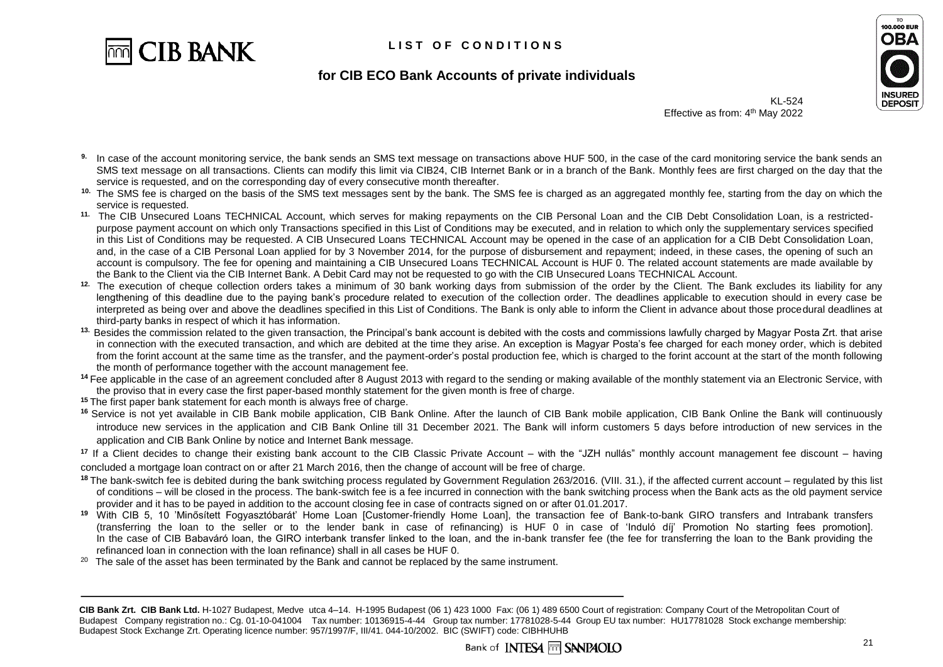

#### LIST OF CONDITIONS

# **OBA INSURED DEPOSIT**

TO **100.000 EUR** 

#### **for CIB ECO Bank Accounts of private individuals**

KL-524 Effective as from: 4<sup>th</sup> May 2022

- **9.** In case of the account monitoring service, the bank sends an SMS text message on transactions above HUF 500, in the case of the card monitoring service the bank sends an SMS text message on all transactions. Clients can modify this limit via CIB24, CIB Internet Bank or in a branch of the Bank. Monthly fees are first charged on the day that the service is requested, and on the corresponding day of every consecutive month thereafter.
- <sup>10.</sup> The SMS fee is charged on the basis of the SMS text messages sent by the bank. The SMS fee is charged as an aggregated monthly fee, starting from the day on which the service is requested.
- **11.** The CIB Unsecured Loans TECHNICAL Account, which serves for making repayments on the CIB Personal Loan and the CIB Debt Consolidation Loan, is a restrictedpurpose payment account on which only Transactions specified in this List of Conditions may be executed, and in relation to which only the supplementary services specified in this List of Conditions may be requested. A CIB Unsecured Loans TECHNICAL Account may be opened in the case of an application for a CIB Debt Consolidation Loan, and, in the case of a CIB Personal Loan applied for by 3 November 2014, for the purpose of disbursement and repayment; indeed, in these cases, the opening of such an account is compulsory. The fee for opening and maintaining a CIB Unsecured Loans TECHNICAL Account is HUF 0. The related account statements are made available by the Bank to the Client via the CIB Internet Bank. A Debit Card may not be requested to go with the CIB Unsecured Loans TECHNICAL Account.
- **12.** The execution of cheque collection orders takes a minimum of 30 bank working days from submission of the order by the Client. The Bank excludes its liability for any lengthening of this deadline due to the paying bank's procedure related to execution of the collection order. The deadlines applicable to execution should in every case be interpreted as being over and above the deadlines specified in this List of Conditions. The Bank is only able to inform the Client in advance about those procedural deadlines at third-party banks in respect of which it has information.
- <sup>13.</sup> Besides the commission related to the given transaction, the Principal's bank account is debited with the costs and commissions lawfully charged by Magyar Posta Zrt. that arise in connection with the executed transaction, and which are debited at the time they arise. An exception is Magyar Posta's fee charged for each money order, which is debited from the forint account at the same time as the transfer, and the payment-order's postal production fee, which is charged to the forint account at the start of the month following the month of performance together with the account management fee.
- <sup>14</sup> Fee applicable in the case of an agreement concluded after 8 August 2013 with regard to the sending or making available of the monthly statement via an Electronic Service, with the proviso that in every case the first paper-based monthly statement for the given month is free of charge.
- **<sup>15</sup>** The first paper bank statement for each month is always free of charge.
- <sup>16</sup> Service is not yet available in CIB Bank mobile application, CIB Bank Online. After the launch of CIB Bank mobile application, CIB Bank Online the Bank will continuously introduce new services in the application and CIB Bank Online till 31 December 2021. The Bank will inform customers 5 days before introduction of new services in the application and CIB Bank Online by notice and Internet Bank message.

**<sup>17</sup>** If a Client decides to change their existing bank account to the CIB Classic Private Account – with the "JZH nullás" monthly account management fee discount – having concluded a mortgage loan contract on or after 21 March 2016, then the change of account will be free of charge.

- <sup>18</sup> The bank-switch fee is debited during the bank switching process regulated by Government Regulation 263/2016. (VIII. 31.), if the affected current account regulated by this list of conditions – will be closed in the process. The bank-switch fee is a fee incurred in connection with the bank switching process when the Bank acts as the old payment service provider and it has to be payed in addition to the account closing fee in case of contracts signed on or after 01.01.2017.
- **<sup>19</sup>** With CIB 5, 10 'Minősített Fogyasztóbarát' Home Loan [Customer-friendly Home Loan], the transaction fee of Bank-to-bank GIRO transfers and Intrabank transfers (transferring the loan to the seller or to the lender bank in case of refinancing) is HUF 0 in case of 'Induló díj' Promotion No starting fees promotion]. In the case of CIB Babaváró loan, the GIRO interbank transfer linked to the loan, and the in-bank transfer fee (the fee for transferring the loan to the Bank providing the refinanced loan in connection with the loan refinance) shall in all cases be HUF 0.
- $20$  The sale of the asset has been terminated by the Bank and cannot be replaced by the same instrument.

**CIB Bank Zrt. CIB Bank Ltd.** H-1027 Budapest, Medve utca 4–14. H-1995 Budapest (06 1) 423 1000 Fax: (06 1) 489 6500 Court of registration: Company Court of the Metropolitan Court of Budapest Company registration no.: Cg. 01-10-041004 Tax number: 10136915-4-44 Group tax number: 17781028-5-44 Group EU tax number: HU17781028 Stock exchange membership: Budapest Stock Exchange Zrt. Operating licence number: 957/1997/F, III/41. 044-10/2002. BIC (SWIFT) code: CIBHHUHB